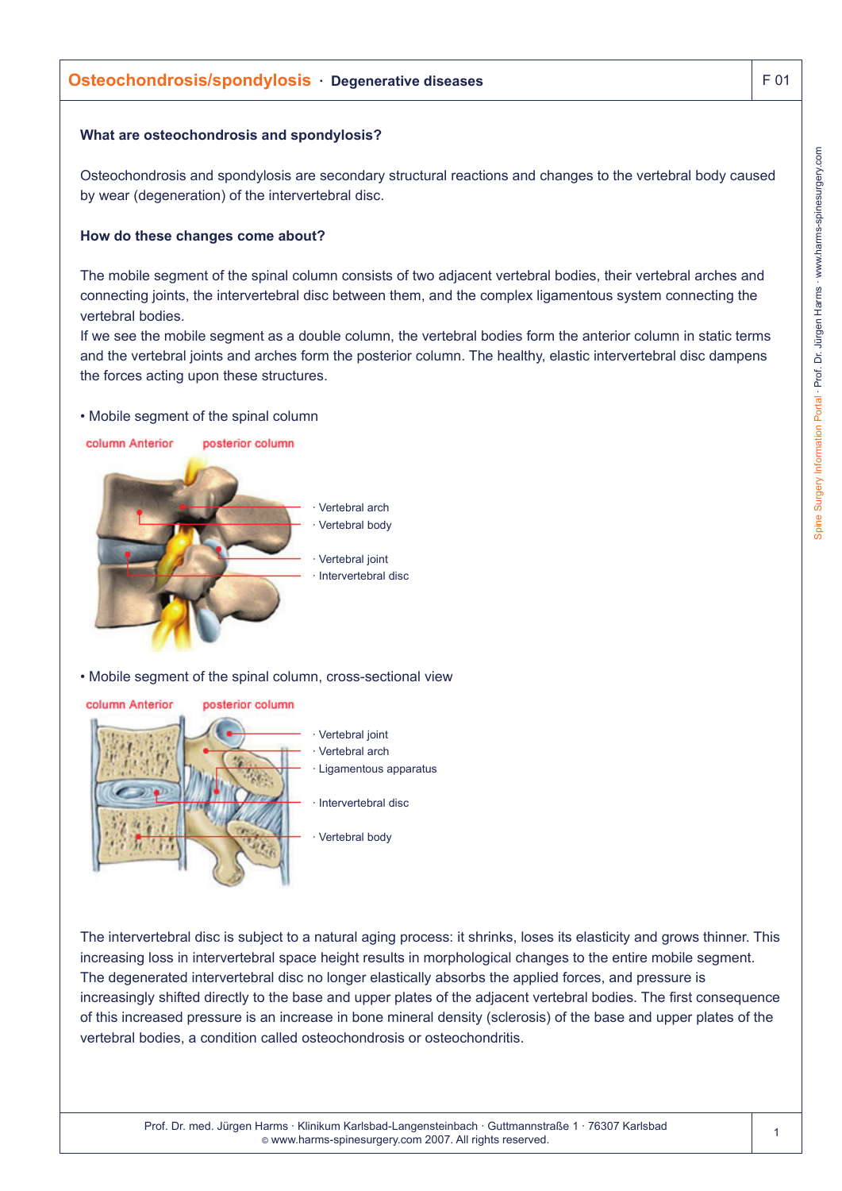# **Osteochondrosis/spondylosis · Degenerative diseases F 01** F 01

### **What are osteochondrosis and spondylosis?**

Osteochondrosis and spondylosis are secondary structural reactions and changes to the vertebral body caused by wear (degeneration) of the intervertebral disc.

#### **How do these changes come about?**

The mobile segment of the spinal column consists of two adjacent vertebral bodies, their vertebral arches and connecting joints, the intervertebral disc between them, and the complex ligamentous system connecting the vertebral bodies.

If we see the mobile segment as a double column, the vertebral bodies form the anterior column in static terms and the vertebral joints and arches form the posterior column. The healthy, elastic intervertebral disc dampens the forces acting upon these structures.

#### • Mobile segment of the spinal column

column Anterior posterior column



• Mobile segment of the spinal column, cross-sectional view



- Vertebral joint
- Vertebral arch
- Ligamentous apparatus
- · Intervertebral disc
- Vertebral body

The intervertebral disc is subject to a natural aging process: it shrinks, loses its elasticity and grows thinner. This increasing loss in intervertebral space height results in morphological changes to the entire mobile segment. The degenerated intervertebral disc no longer elastically absorbs the applied forces, and pressure is increasingly shifted directly to the base and upper plates of the adjacent vertebral bodies. The first consequence of this increased pressure is an increase in bone mineral density (sclerosis) of the base and upper plates of the vertebral bodies, a condition called osteochondrosis or osteochondritis.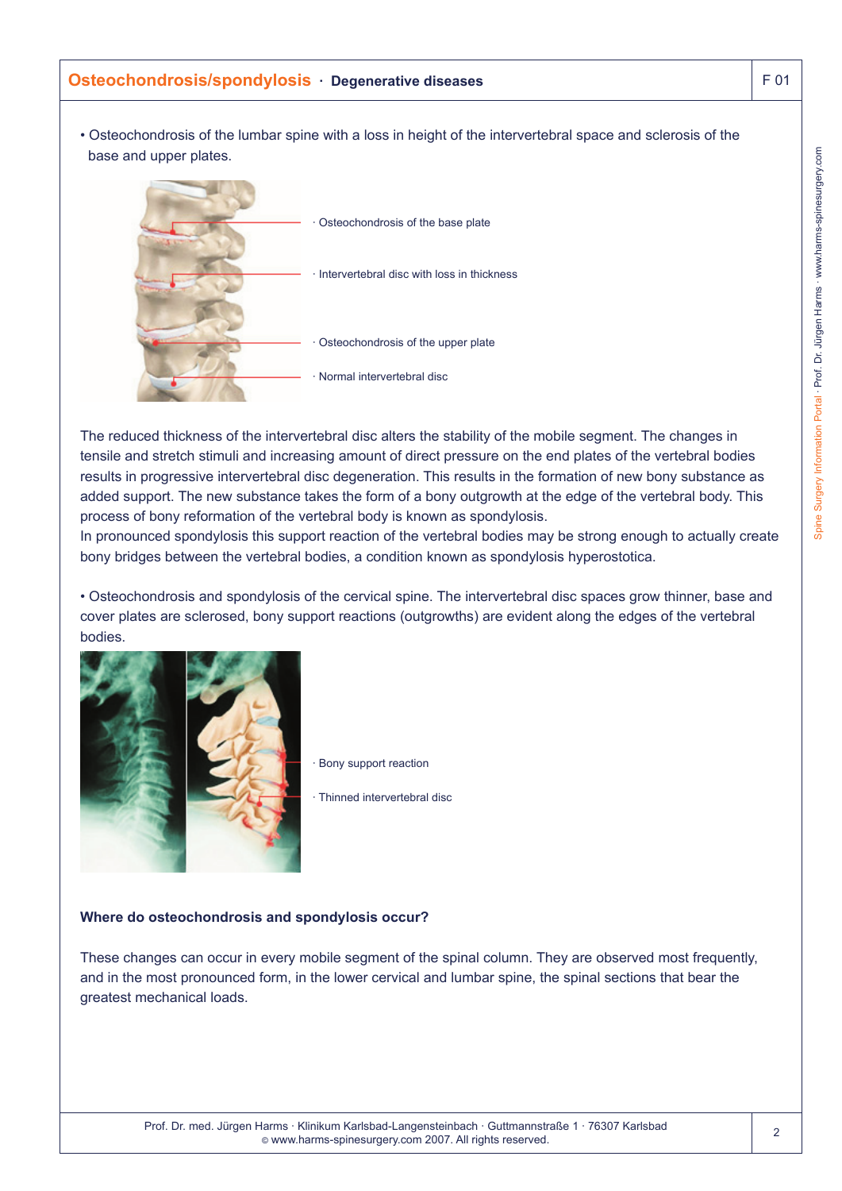## **Osteochondrosis/spondylosis · Degenerative diseases F 01** F 01

• Osteochondrosis of the lumbar spine with a loss in height of the intervertebral space and sclerosis of the base and upper plates.



The reduced thickness of the intervertebral disc alters the stability of the mobile segment. The changes in tensile and stretch stimuli and increasing amount of direct pressure on the end plates of the vertebral bodies results in progressive intervertebral disc degeneration. This results in the formation of new bony substance as added support. The new substance takes the form of a bony outgrowth at the edge of the vertebral body. This process of bony reformation of the vertebral body is known as spondylosis.

In pronounced spondylosis this support reaction of the vertebral bodies may be strong enough to actually create bony bridges between the vertebral bodies, a condition known as spondylosis hyperostotica.

• Osteochondrosis and spondylosis of the cervical spine. The intervertebral disc spaces grow thinner, base and cover plates are sclerosed, bony support reactions (outgrowths) are evident along the edges of the vertebral bodies.



Bony support reaction

· Thinned intervertebral disc

#### **Where do osteochondrosis and spondylosis occur?**

These changes can occur in every mobile segment of the spinal column. They are observed most frequently, and in the most pronounced form, in the lower cervical and lumbar spine, the spinal sections that bear the greatest mechanical loads.